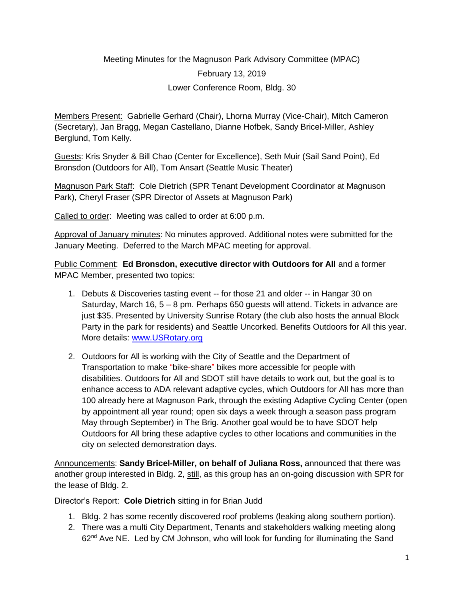# Meeting Minutes for the Magnuson Park Advisory Committee (MPAC) February 13, 2019 Lower Conference Room, Bldg. 30

Members Present: Gabrielle Gerhard (Chair), Lhorna Murray (Vice-Chair), Mitch Cameron (Secretary), Jan Bragg, Megan Castellano, Dianne Hofbek, Sandy Bricel-Miller, Ashley Berglund, Tom Kelly.

Guests: Kris Snyder & Bill Chao (Center for Excellence), Seth Muir (Sail Sand Point), Ed Bronsdon (Outdoors for All), Tom Ansart (Seattle Music Theater)

Magnuson Park Staff: Cole Dietrich (SPR Tenant Development Coordinator at Magnuson Park), Cheryl Fraser (SPR Director of Assets at Magnuson Park)

Called to order: Meeting was called to order at 6:00 p.m.

Approval of January minutes: No minutes approved. Additional notes were submitted for the January Meeting. Deferred to the March MPAC meeting for approval.

Public Comment: **Ed Bronsdon, executive director with Outdoors for All** and a former MPAC Member, presented two topics:

- 1. Debuts & Discoveries tasting event -- for those 21 and older -- in Hangar 30 on Saturday, March 16, 5 – 8 pm. Perhaps 650 guests will attend. Tickets in advance are just \$35. Presented by University Sunrise Rotary (the club also hosts the annual Block Party in the park for residents) and Seattle Uncorked. Benefits Outdoors for All this year. More details: [www.USRotary.org](http://www.usrotary.org/)
- 2. Outdoors for All is working with the City of Seattle and the Department of Transportation to make "bike-share" bikes more accessible for people with disabilities. Outdoors for All and SDOT still have details to work out, but the goal is to enhance access to ADA relevant adaptive cycles, which Outdoors for All has more than 100 already here at Magnuson Park, through the existing Adaptive Cycling Center (open by appointment all year round; open six days a week through a season pass program May through September) in The Brig. Another goal would be to have SDOT help Outdoors for All bring these adaptive cycles to other locations and communities in the city on selected demonstration days.

Announcements: **Sandy Bricel-Miller, on behalf of Juliana Ross,** announced that there was another group interested in Bldg. 2, still, as this group has an on-going discussion with SPR for the lease of Bldg. 2.

Director's Report: **Cole Dietrich** sitting in for Brian Judd

- 1. Bldg. 2 has some recently discovered roof problems (leaking along southern portion).
- 2. There was a multi City Department, Tenants and stakeholders walking meeting along 62<sup>nd</sup> Ave NE. Led by CM Johnson, who will look for funding for illuminating the Sand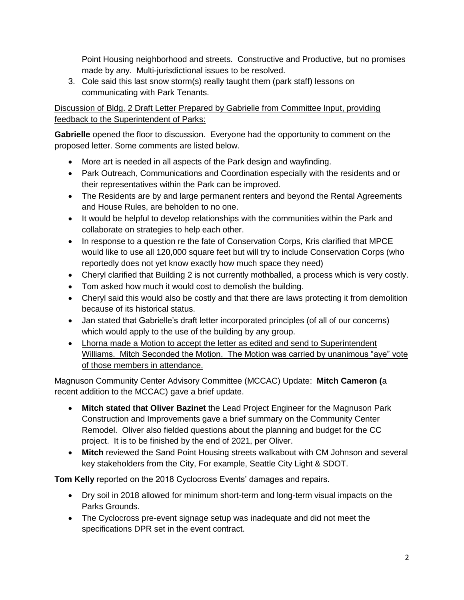Point Housing neighborhood and streets. Constructive and Productive, but no promises made by any. Multi-jurisdictional issues to be resolved.

3. Cole said this last snow storm(s) really taught them (park staff) lessons on communicating with Park Tenants.

Discussion of Bldg. 2 Draft Letter Prepared by Gabrielle from Committee Input, providing feedback to the Superintendent of Parks:

**Gabrielle** opened the floor to discussion. Everyone had the opportunity to comment on the proposed letter. Some comments are listed below.

- More art is needed in all aspects of the Park design and wayfinding.
- Park Outreach, Communications and Coordination especially with the residents and or their representatives within the Park can be improved.
- The Residents are by and large permanent renters and beyond the Rental Agreements and House Rules, are beholden to no one.
- It would be helpful to develop relationships with the communities within the Park and collaborate on strategies to help each other.
- In response to a question re the fate of Conservation Corps, Kris clarified that MPCE would like to use all 120,000 square feet but will try to include Conservation Corps (who reportedly does not yet know exactly how much space they need)
- Cheryl clarified that Building 2 is not currently mothballed, a process which is very costly.
- Tom asked how much it would cost to demolish the building.
- Cheryl said this would also be costly and that there are laws protecting it from demolition because of its historical status.
- Jan stated that Gabrielle's draft letter incorporated principles (of all of our concerns) which would apply to the use of the building by any group.
- Lhorna made a Motion to accept the letter as edited and send to Superintendent Williams. Mitch Seconded the Motion. The Motion was carried by unanimous "aye" vote of those members in attendance.

Magnuson Community Center Advisory Committee (MCCAC) Update: **Mitch Cameron (**a recent addition to the MCCAC) gave a brief update.

- **Mitch stated that Oliver Bazinet** the Lead Project Engineer for the Magnuson Park Construction and Improvements gave a brief summary on the Community Center Remodel. Oliver also fielded questions about the planning and budget for the CC project. It is to be finished by the end of 2021, per Oliver.
- **Mitch** reviewed the Sand Point Housing streets walkabout with CM Johnson and several key stakeholders from the City, For example, Seattle City Light & SDOT.

**Tom Kelly** reported on the 2018 Cyclocross Events' damages and repairs.

- Dry soil in 2018 allowed for minimum short-term and long-term visual impacts on the Parks Grounds.
- The Cyclocross pre-event signage setup was inadequate and did not meet the specifications DPR set in the event contract.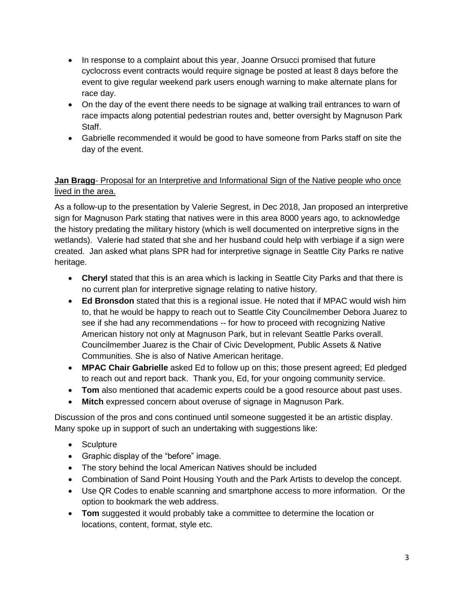- In response to a complaint about this year, Joanne Orsucci promised that future cyclocross event contracts would require signage be posted at least 8 days before the event to give regular weekend park users enough warning to make alternate plans for race day.
- On the day of the event there needs to be signage at walking trail entrances to warn of race impacts along potential pedestrian routes and, better oversight by Magnuson Park Staff.
- Gabrielle recommended it would be good to have someone from Parks staff on site the day of the event.

## **Jan Bragg**- Proposal for an Interpretive and Informational Sign of the Native people who once lived in the area.

As a follow-up to the presentation by Valerie Segrest, in Dec 2018, Jan proposed an interpretive sign for Magnuson Park stating that natives were in this area 8000 years ago, to acknowledge the history predating the military history (which is well documented on interpretive signs in the wetlands). Valerie had stated that she and her husband could help with verbiage if a sign were created. Jan asked what plans SPR had for interpretive signage in Seattle City Parks re native heritage.

- **Cheryl** stated that this is an area which is lacking in Seattle City Parks and that there is no current plan for interpretive signage relating to native history.
- **Ed Bronsdon** stated that this is a regional issue. He noted that if MPAC would wish him to, that he would be happy to reach out to Seattle City Councilmember Debora Juarez to see if she had any recommendations -- for how to proceed with recognizing Native American history not only at Magnuson Park, but in relevant Seattle Parks overall. Councilmember Juarez is the Chair of Civic Development, Public Assets & Native Communities. She is also of Native American heritage.
- **MPAC Chair Gabrielle** asked Ed to follow up on this; those present agreed; Ed pledged to reach out and report back. Thank you, Ed, for your ongoing community service.
- **Tom** also mentioned that academic experts could be a good resource about past uses.
- **Mitch** expressed concern about overuse of signage in Magnuson Park.

Discussion of the pros and cons continued until someone suggested it be an artistic display. Many spoke up in support of such an undertaking with suggestions like:

- Sculpture
- Graphic display of the "before" image.
- The story behind the local American Natives should be included
- Combination of Sand Point Housing Youth and the Park Artists to develop the concept.
- Use QR Codes to enable scanning and smartphone access to more information. Or the option to bookmark the web address.
- **Tom** suggested it would probably take a committee to determine the location or locations, content, format, style etc.